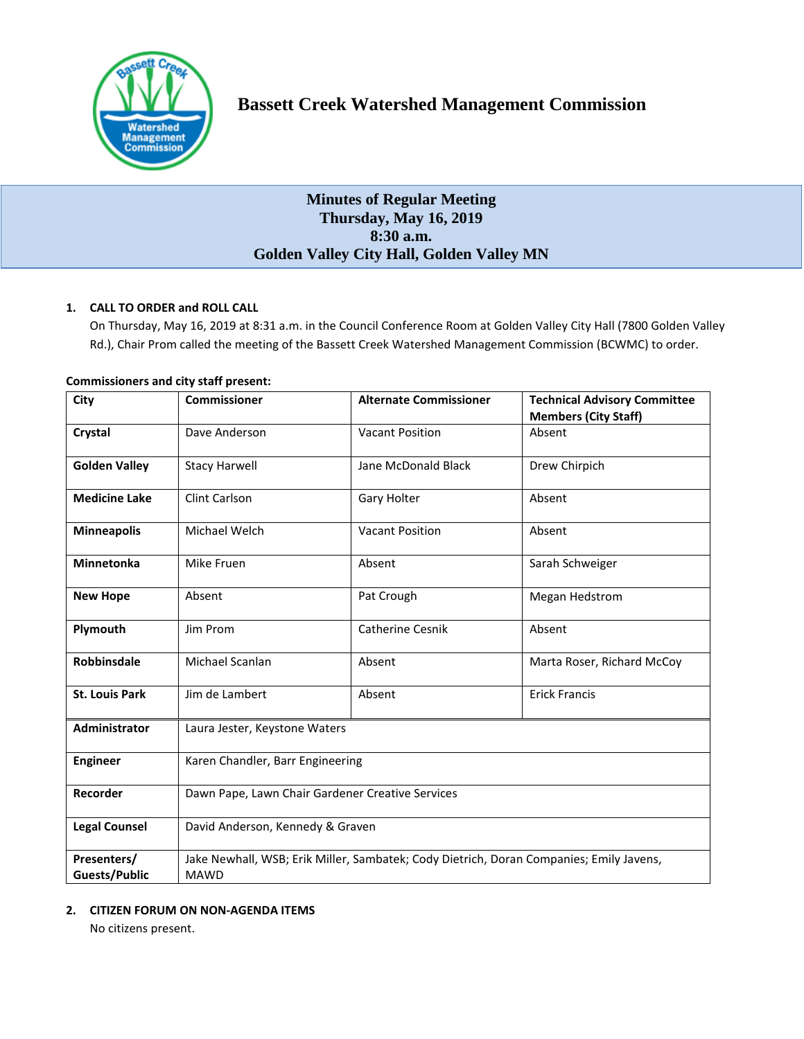

# **Bassett Creek Watershed Management Commission**

## **Minutes of Regular Meeting Thursday, May 16, 2019 8:30 a.m. Golden Valley City Hall, Golden Valley MN**

## **1. CALL TO ORDER and ROLL CALL**

On Thursday, May 16, 2019 at 8:31 a.m. in the Council Conference Room at Golden Valley City Hall (7800 Golden Valley Rd.), Chair Prom called the meeting of the Bassett Creek Watershed Management Commission (BCWMC) to order.

| City                                | <b>Commissioner</b>                                                                                    | <b>Alternate Commissioner</b> | <b>Technical Advisory Committee</b><br><b>Members (City Staff)</b> |
|-------------------------------------|--------------------------------------------------------------------------------------------------------|-------------------------------|--------------------------------------------------------------------|
| Crystal                             | Dave Anderson                                                                                          | <b>Vacant Position</b>        | Absent                                                             |
| <b>Golden Valley</b>                | <b>Stacy Harwell</b>                                                                                   | Jane McDonald Black           | Drew Chirpich                                                      |
| <b>Medicine Lake</b>                | Clint Carlson                                                                                          | Gary Holter                   | Absent                                                             |
| <b>Minneapolis</b>                  | Michael Welch                                                                                          | <b>Vacant Position</b>        | Absent                                                             |
| <b>Minnetonka</b>                   | Mike Fruen                                                                                             | Absent                        | Sarah Schweiger                                                    |
| <b>New Hope</b>                     | Absent                                                                                                 | Pat Crough                    | Megan Hedstrom                                                     |
| Plymouth                            | Jim Prom                                                                                               | <b>Catherine Cesnik</b>       | Absent                                                             |
| Robbinsdale                         | Michael Scanlan                                                                                        | Absent                        | Marta Roser, Richard McCoy                                         |
| <b>St. Louis Park</b>               | Jim de Lambert                                                                                         | Absent                        | <b>Erick Francis</b>                                               |
| <b>Administrator</b>                | Laura Jester, Keystone Waters                                                                          |                               |                                                                    |
| <b>Engineer</b>                     | Karen Chandler, Barr Engineering                                                                       |                               |                                                                    |
| Recorder                            | Dawn Pape, Lawn Chair Gardener Creative Services                                                       |                               |                                                                    |
| <b>Legal Counsel</b>                | David Anderson, Kennedy & Graven                                                                       |                               |                                                                    |
| Presenters/<br><b>Guests/Public</b> | Jake Newhall, WSB; Erik Miller, Sambatek; Cody Dietrich, Doran Companies; Emily Javens,<br><b>MAWD</b> |                               |                                                                    |

## **Commissioners and city staff present:**

## **2. CITIZEN FORUM ON NON-AGENDA ITEMS**

No citizens present.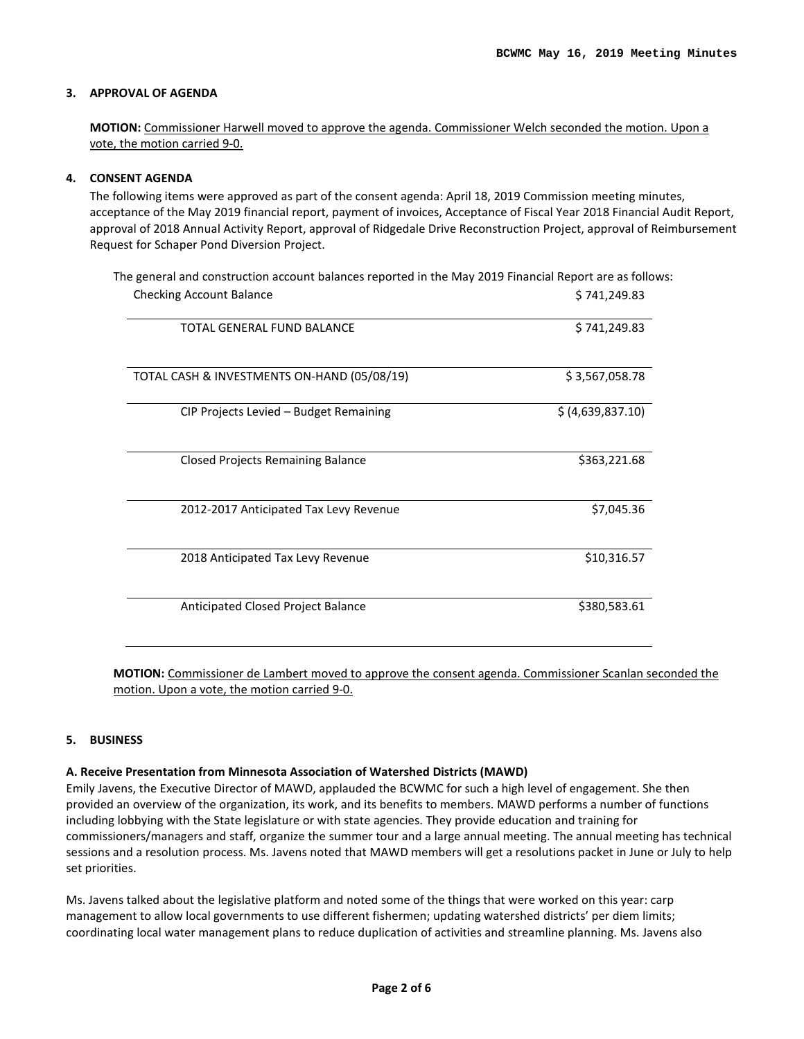## **3. APPROVAL OF AGENDA**

**MOTION:** Commissioner Harwell moved to approve the agenda. Commissioner Welch seconded the motion. Upon a vote, the motion carried 9-0.

## **4. CONSENT AGENDA**

The following items were approved as part of the consent agenda: April 18, 2019 Commission meeting minutes, acceptance of the May 2019 financial report, payment of invoices, Acceptance of Fiscal Year 2018 Financial Audit Report, approval of 2018 Annual Activity Report, approval of Ridgedale Drive Reconstruction Project, approval of Reimbursement Request for Schaper Pond Diversion Project.

| <b>Checking Account Balance</b>             | \$741,249.83      |
|---------------------------------------------|-------------------|
| TOTAL GENERAL FUND BALANCE                  | \$741,249.83      |
| TOTAL CASH & INVESTMENTS ON-HAND (05/08/19) | \$3,567,058.78    |
| CIP Projects Levied - Budget Remaining      | \$ (4,639,837.10) |
| <b>Closed Projects Remaining Balance</b>    | \$363,221.68      |
| 2012-2017 Anticipated Tax Levy Revenue      | \$7,045.36        |
| 2018 Anticipated Tax Levy Revenue           | \$10,316.57       |
| Anticipated Closed Project Balance          | \$380,583.61      |

**MOTION:** Commissioner de Lambert moved to approve the consent agenda. Commissioner Scanlan seconded the motion. Upon a vote, the motion carried 9-0.

## **5. BUSINESS**

## **A. Receive Presentation from Minnesota Association of Watershed Districts (MAWD)**

Emily Javens, the Executive Director of MAWD, applauded the BCWMC for such a high level of engagement. She then provided an overview of the organization, its work, and its benefits to members. MAWD performs a number of functions including lobbying with the State legislature or with state agencies. They provide education and training for commissioners/managers and staff, organize the summer tour and a large annual meeting. The annual meeting has technical sessions and a resolution process. Ms. Javens noted that MAWD members will get a resolutions packet in June or July to help set priorities.

Ms. Javens talked about the legislative platform and noted some of the things that were worked on this year: carp management to allow local governments to use different fishermen; updating watershed districts' per diem limits; coordinating local water management plans to reduce duplication of activities and streamline planning. Ms. Javens also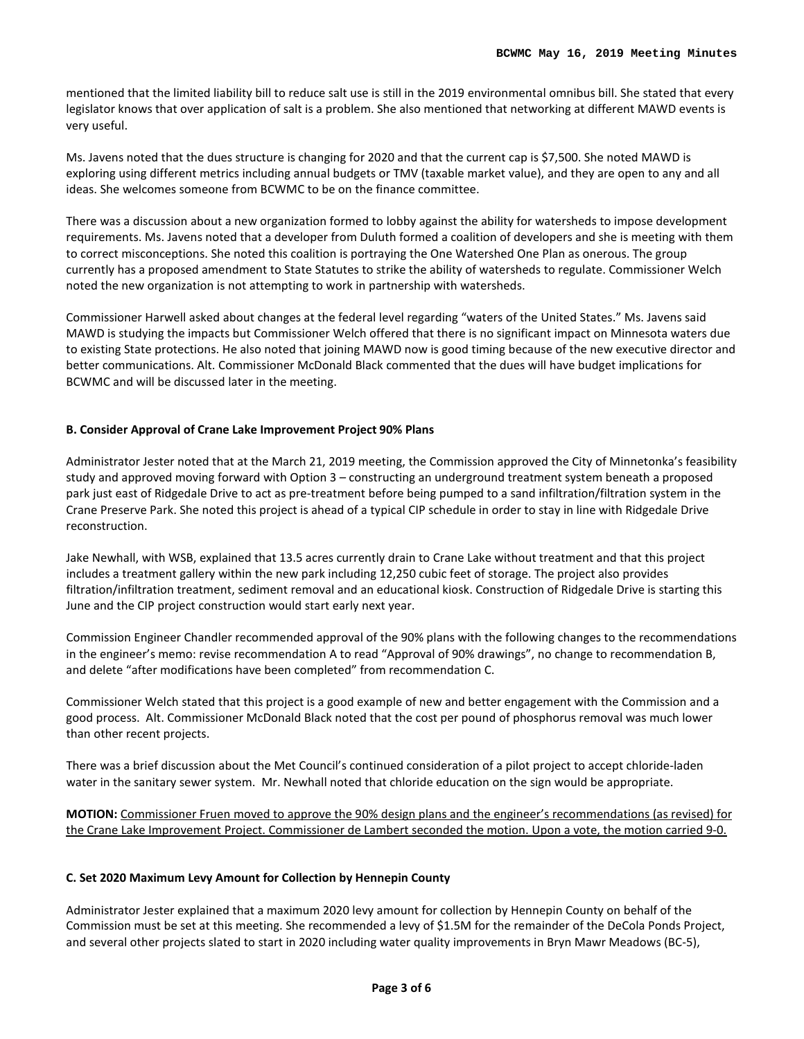mentioned that the limited liability bill to reduce salt use is still in the 2019 environmental omnibus bill. She stated that every legislator knows that over application of salt is a problem. She also mentioned that networking at different MAWD events is very useful.

Ms. Javens noted that the dues structure is changing for 2020 and that the current cap is \$7,500. She noted MAWD is exploring using different metrics including annual budgets or TMV (taxable market value), and they are open to any and all ideas. She welcomes someone from BCWMC to be on the finance committee.

There was a discussion about a new organization formed to lobby against the ability for watersheds to impose development requirements. Ms. Javens noted that a developer from Duluth formed a coalition of developers and she is meeting with them to correct misconceptions. She noted this coalition is portraying the One Watershed One Plan as onerous. The group currently has a proposed amendment to State Statutes to strike the ability of watersheds to regulate. Commissioner Welch noted the new organization is not attempting to work in partnership with watersheds.

Commissioner Harwell asked about changes at the federal level regarding "waters of the United States." Ms. Javens said MAWD is studying the impacts but Commissioner Welch offered that there is no significant impact on Minnesota waters due to existing State protections. He also noted that joining MAWD now is good timing because of the new executive director and better communications. Alt. Commissioner McDonald Black commented that the dues will have budget implications for BCWMC and will be discussed later in the meeting.

## **B. Consider Approval of Crane Lake Improvement Project 90% Plans**

Administrator Jester noted that at the March 21, 2019 meeting, the Commission approved the City of Minnetonka's feasibility study and approved moving forward with Option 3 – constructing an underground treatment system beneath a proposed park just east of Ridgedale Drive to act as pre-treatment before being pumped to a sand infiltration/filtration system in the Crane Preserve Park. She noted this project is ahead of a typical CIP schedule in order to stay in line with Ridgedale Drive reconstruction.

Jake Newhall, with WSB, explained that 13.5 acres currently drain to Crane Lake without treatment and that this project includes a treatment gallery within the new park including 12,250 cubic feet of storage. The project also provides filtration/infiltration treatment, sediment removal and an educational kiosk. Construction of Ridgedale Drive is starting this June and the CIP project construction would start early next year.

Commission Engineer Chandler recommended approval of the 90% plans with the following changes to the recommendations in the engineer's memo: revise recommendation A to read "Approval of 90% drawings", no change to recommendation B, and delete "after modifications have been completed" from recommendation C.

Commissioner Welch stated that this project is a good example of new and better engagement with the Commission and a good process. Alt. Commissioner McDonald Black noted that the cost per pound of phosphorus removal was much lower than other recent projects.

There was a brief discussion about the Met Council's continued consideration of a pilot project to accept chloride-laden water in the sanitary sewer system. Mr. Newhall noted that chloride education on the sign would be appropriate.

**MOTION:** Commissioner Fruen moved to approve the 90% design plans and the engineer's recommendations (as revised) for the Crane Lake Improvement Project. Commissioner de Lambert seconded the motion. Upon a vote, the motion carried 9-0.

## **C. Set 2020 Maximum Levy Amount for Collection by Hennepin County**

Administrator Jester explained that a maximum 2020 levy amount for collection by Hennepin County on behalf of the Commission must be set at this meeting. She recommended a levy of \$1.5M for the remainder of the DeCola Ponds Project, and several other projects slated to start in 2020 including water quality improvements in Bryn Mawr Meadows (BC-5),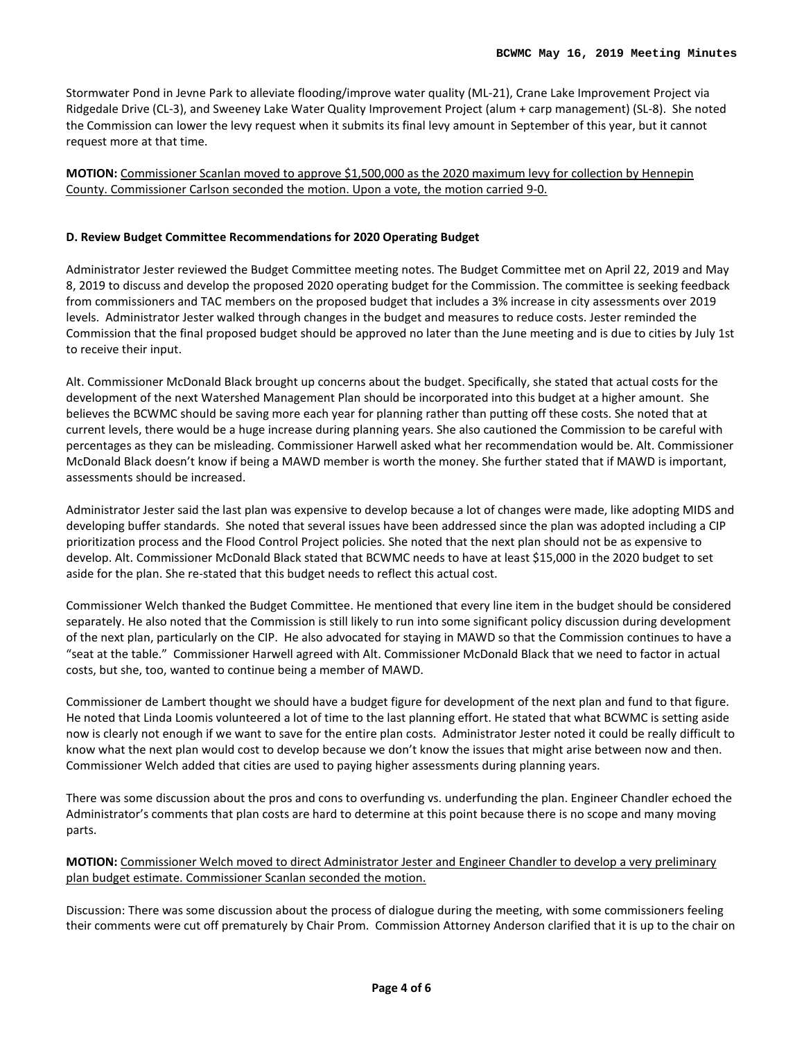Stormwater Pond in Jevne Park to alleviate flooding/improve water quality (ML-21), Crane Lake Improvement Project via Ridgedale Drive (CL-3), and Sweeney Lake Water Quality Improvement Project (alum + carp management) (SL-8). She noted the Commission can lower the levy request when it submits its final levy amount in September of this year, but it cannot request more at that time.

**MOTION:** Commissioner Scanlan moved to approve \$1,500,000 as the 2020 maximum levy for collection by Hennepin County. Commissioner Carlson seconded the motion. Upon a vote, the motion carried 9-0.

## **D. Review Budget Committee Recommendations for 2020 Operating Budget**

Administrator Jester reviewed the Budget Committee meeting notes. The Budget Committee met on April 22, 2019 and May 8, 2019 to discuss and develop the proposed 2020 operating budget for the Commission. The committee is seeking feedback from commissioners and TAC members on the proposed budget that includes a 3% increase in city assessments over 2019 levels. Administrator Jester walked through changes in the budget and measures to reduce costs. Jester reminded the Commission that the final proposed budget should be approved no later than the June meeting and is due to cities by July 1st to receive their input.

Alt. Commissioner McDonald Black brought up concerns about the budget. Specifically, she stated that actual costs for the development of the next Watershed Management Plan should be incorporated into this budget at a higher amount. She believes the BCWMC should be saving more each year for planning rather than putting off these costs. She noted that at current levels, there would be a huge increase during planning years. She also cautioned the Commission to be careful with percentages as they can be misleading. Commissioner Harwell asked what her recommendation would be. Alt. Commissioner McDonald Black doesn't know if being a MAWD member is worth the money. She further stated that if MAWD is important, assessments should be increased.

Administrator Jester said the last plan was expensive to develop because a lot of changes were made, like adopting MIDS and developing buffer standards. She noted that several issues have been addressed since the plan was adopted including a CIP prioritization process and the Flood Control Project policies. She noted that the next plan should not be as expensive to develop. Alt. Commissioner McDonald Black stated that BCWMC needs to have at least \$15,000 in the 2020 budget to set aside for the plan. She re-stated that this budget needs to reflect this actual cost.

Commissioner Welch thanked the Budget Committee. He mentioned that every line item in the budget should be considered separately. He also noted that the Commission is still likely to run into some significant policy discussion during development of the next plan, particularly on the CIP. He also advocated for staying in MAWD so that the Commission continues to have a "seat at the table." Commissioner Harwell agreed with Alt. Commissioner McDonald Black that we need to factor in actual costs, but she, too, wanted to continue being a member of MAWD.

Commissioner de Lambert thought we should have a budget figure for development of the next plan and fund to that figure. He noted that Linda Loomis volunteered a lot of time to the last planning effort. He stated that what BCWMC is setting aside now is clearly not enough if we want to save for the entire plan costs. Administrator Jester noted it could be really difficult to know what the next plan would cost to develop because we don't know the issues that might arise between now and then. Commissioner Welch added that cities are used to paying higher assessments during planning years.

There was some discussion about the pros and cons to overfunding vs. underfunding the plan. Engineer Chandler echoed the Administrator's comments that plan costs are hard to determine at this point because there is no scope and many moving parts.

## **MOTION:** Commissioner Welch moved to direct Administrator Jester and Engineer Chandler to develop a very preliminary plan budget estimate. Commissioner Scanlan seconded the motion.

Discussion: There was some discussion about the process of dialogue during the meeting, with some commissioners feeling their comments were cut off prematurely by Chair Prom. Commission Attorney Anderson clarified that it is up to the chair on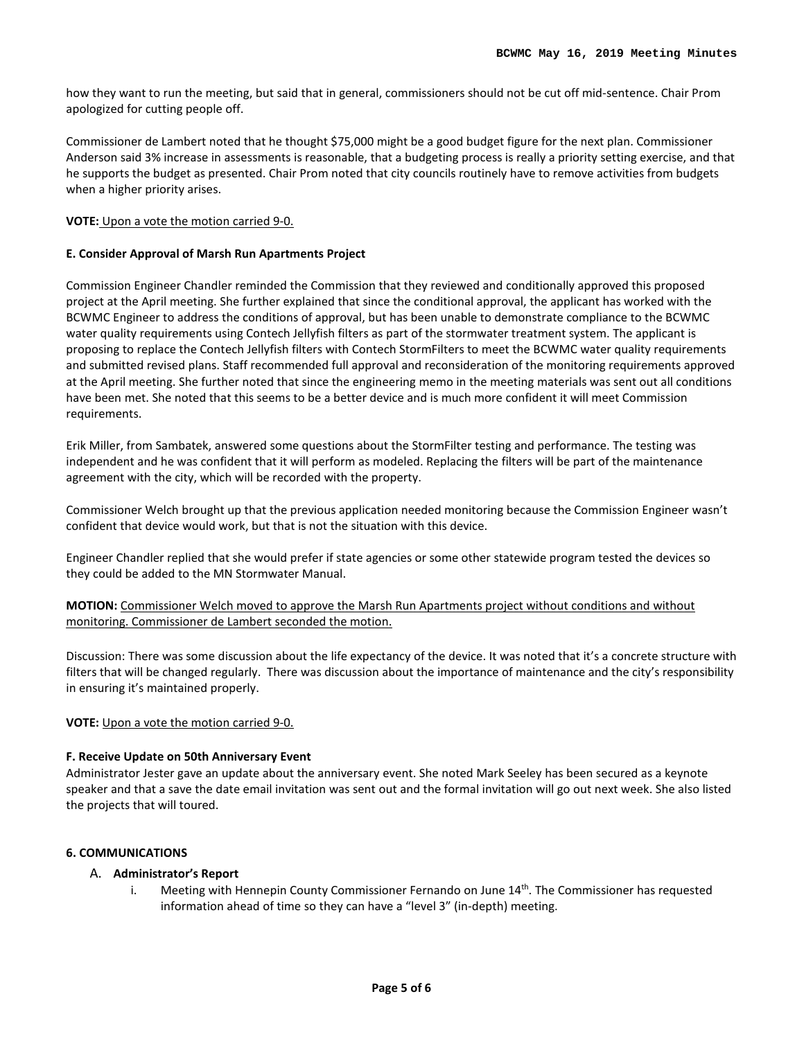how they want to run the meeting, but said that in general, commissioners should not be cut off mid-sentence. Chair Prom apologized for cutting people off.

Commissioner de Lambert noted that he thought \$75,000 might be a good budget figure for the next plan. Commissioner Anderson said 3% increase in assessments is reasonable, that a budgeting process is really a priority setting exercise, and that he supports the budget as presented. Chair Prom noted that city councils routinely have to remove activities from budgets when a higher priority arises.

#### **VOTE:** Upon a vote the motion carried 9-0.

#### **E. Consider Approval of Marsh Run Apartments Project**

Commission Engineer Chandler reminded the Commission that they reviewed and conditionally approved this proposed project at the April meeting. She further explained that since the conditional approval, the applicant has worked with the BCWMC Engineer to address the conditions of approval, but has been unable to demonstrate compliance to the BCWMC water quality requirements using Contech Jellyfish filters as part of the stormwater treatment system. The applicant is proposing to replace the Contech Jellyfish filters with Contech StormFilters to meet the BCWMC water quality requirements and submitted revised plans. Staff recommended full approval and reconsideration of the monitoring requirements approved at the April meeting. She further noted that since the engineering memo in the meeting materials was sent out all conditions have been met. She noted that this seems to be a better device and is much more confident it will meet Commission requirements.

Erik Miller, from Sambatek, answered some questions about the StormFilter testing and performance. The testing was independent and he was confident that it will perform as modeled. Replacing the filters will be part of the maintenance agreement with the city, which will be recorded with the property.

Commissioner Welch brought up that the previous application needed monitoring because the Commission Engineer wasn't confident that device would work, but that is not the situation with this device.

Engineer Chandler replied that she would prefer if state agencies or some other statewide program tested the devices so they could be added to the MN Stormwater Manual.

**MOTION:** Commissioner Welch moved to approve the Marsh Run Apartments project without conditions and without monitoring. Commissioner de Lambert seconded the motion.

Discussion: There was some discussion about the life expectancy of the device. It was noted that it's a concrete structure with filters that will be changed regularly. There was discussion about the importance of maintenance and the city's responsibility in ensuring it's maintained properly.

#### **VOTE:** Upon a vote the motion carried 9-0.

#### **F. Receive Update on 50th Anniversary Event**

Administrator Jester gave an update about the anniversary event. She noted Mark Seeley has been secured as a keynote speaker and that a save the date email invitation was sent out and the formal invitation will go out next week. She also listed the projects that will toured.

#### **6. COMMUNICATIONS**

#### A. **Administrator's Report**

i. Meeting with Hennepin County Commissioner Fernando on June  $14<sup>th</sup>$ . The Commissioner has requested information ahead of time so they can have a "level 3" (in-depth) meeting.